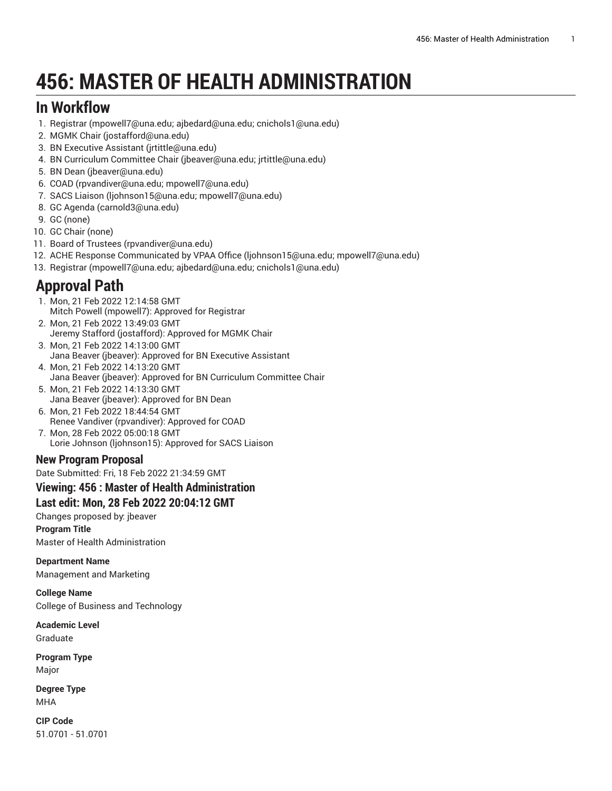# **456: MASTER OF HEALTH ADMINISTRATION**

# **In Workflow**

- 1. [Registrar](mailto:mpowell7@una.edu; ajbedard@una.edu; cnichols1@una.edu) [\(mpowell7@una.edu;](mpowell7@una.edu; ajbedard@una.edu; cnichols1@una.edu) ajbedard@una.edu; cnichols1@una.edu)
- 2. [MGMK Chair](mailto:jostafford@una.edu) [\(jostafford@una.edu](jostafford@una.edu))
- 3. BN [Executive](mailto:jrtittle@una.edu) Assistant [\(jrtittle@una.edu\)](jrtittle@una.edu)
- 4. [BN Curriculum Committee Chair](mailto:jbeaver@una.edu; jrtittle@una.edu) [\(jbeaver@una.edu;](jbeaver@una.edu; jrtittle@una.edu) jrtittle@una.edu)
- 5. [BN Dean](mailto:jbeaver@una.edu) [\(jbeaver@una.edu](jbeaver@una.edu))
- 6. [COAD](mailto:rpvandiver@una.edu; mpowell7@una.edu) ([rpvandiver@una.edu;](rpvandiver@una.edu; mpowell7@una.edu) mpowell7@una.edu)
- 7. [SACS Liaison](mailto:ljohnson15@una.edu; mpowell7@una.edu) [\(ljohnson15@una.edu; mpowell7@una.edu](ljohnson15@una.edu; mpowell7@una.edu))
- 8. [GC Agenda](mailto:carnold3@una.edu) [\(carnold3@una.edu](carnold3@una.edu))
- 9. [GC](mailto:none) [\(none](none))
- 10. [GC Chair](mailto:none) [\(none](none))
- 11. Board of [Trustees](mailto:rpvandiver@una.edu) ([rpvandiver@una.edu\)](rpvandiver@una.edu)
- 12. ACHE Response [Communicated](mailto:ljohnson15@una.edu; mpowell7@una.edu) by VPAA Office [\(ljohnson15@una.edu; mpowell7@una.edu](ljohnson15@una.edu; mpowell7@una.edu))
- 13. [Registrar](mailto:mpowell7@una.edu; ajbedard@una.edu; cnichols1@una.edu) [\(mpowell7@una.edu;](mpowell7@una.edu; ajbedard@una.edu; cnichols1@una.edu) ajbedard@una.edu; cnichols1@una.edu)

# **Approval Path**

- 1. Mon, 21 Feb 2022 12:14:58 GMT Mitch Powell (mpowell7): Approved for Registrar
- 2. Mon, 21 Feb 2022 13:49:03 GMT Jeremy Stafford (jostafford): Approved for MGMK Chair
- 3. Mon, 21 Feb 2022 14:13:00 GMT Jana Beaver (jbeaver): Approved for BN Executive Assistant
- 4. Mon, 21 Feb 2022 14:13:20 GMT Jana Beaver (jbeaver): Approved for BN Curriculum Committee Chair
- 5. Mon, 21 Feb 2022 14:13:30 GMT Jana Beaver (jbeaver): Approved for BN Dean
- 6. Mon, 21 Feb 2022 18:44:54 GMT Renee Vandiver (rpvandiver): Approved for COAD
- 7. Mon, 28 Feb 2022 05:00:18 GMT Lorie Johnson (ljohnson15): Approved for SACS Liaison

## **New Program Proposal**

Date Submitted: Fri, 18 Feb 2022 21:34:59 GMT

# **Viewing: 456 : Master of Health Administration**

# **Last edit: Mon, 28 Feb 2022 20:04:12 GMT**

Changes proposed by: jbeaver **Program Title** Master of Health Administration

#### **Department Name**

Management and Marketing

## **College Name**

College of Business and Technology

#### **Academic Level** Graduate

**Program Type** Major

**Degree Type** MHA

**CIP Code** 51.0701 - 51.0701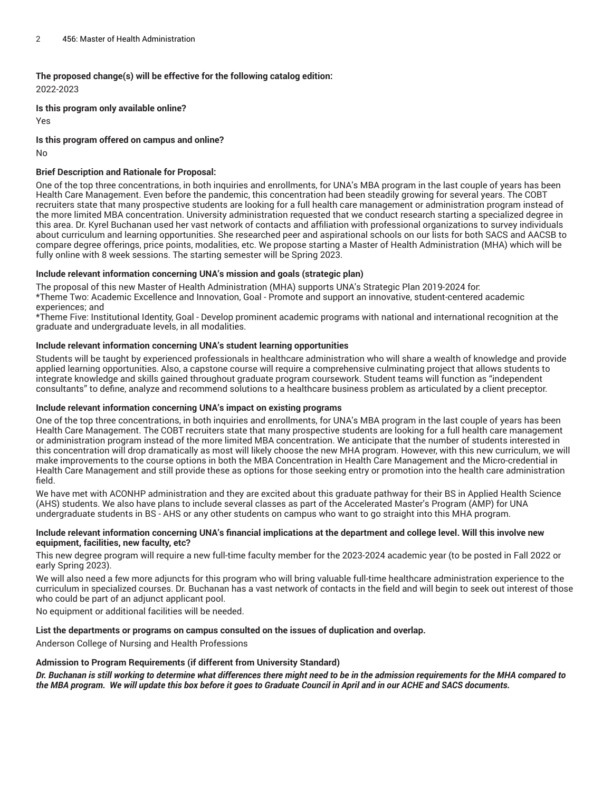**The proposed change(s) will be effective for the following catalog edition:**

2022-2023

**Is this program only available online?** Yes

**Is this program offered on campus and online?**

No

#### **Brief Description and Rationale for Proposal:**

One of the top three concentrations, in both inquiries and enrollments, for UNA's MBA program in the last couple of years has been Health Care Management. Even before the pandemic, this concentration had been steadily growing for several years. The COBT recruiters state that many prospective students are looking for a full health care management or administration program instead of the more limited MBA concentration. University administration requested that we conduct research starting a specialized degree in this area. Dr. Kyrel Buchanan used her vast network of contacts and affiliation with professional organizations to survey individuals about curriculum and learning opportunities. She researched peer and aspirational schools on our lists for both SACS and AACSB to compare degree offerings, price points, modalities, etc. We propose starting a Master of Health Administration (MHA) which will be fully online with 8 week sessions. The starting semester will be Spring 2023.

#### **Include relevant information concerning UNA's mission and goals (strategic plan)**

The proposal of this new Master of Health Administration (MHA) supports UNA's Strategic Plan 2019-2024 for: \*Theme Two: Academic Excellence and Innovation, Goal - Promote and support an innovative, student-centered academic experiences; and

\*Theme Five: Institutional Identity, Goal - Develop prominent academic programs with national and international recognition at the graduate and undergraduate levels, in all modalities.

#### **Include relevant information concerning UNA's student learning opportunities**

Students will be taught by experienced professionals in healthcare administration who will share a wealth of knowledge and provide applied learning opportunities. Also, a capstone course will require a comprehensive culminating project that allows students to integrate knowledge and skills gained throughout graduate program coursework. Student teams will function as "independent consultants" to define, analyze and recommend solutions to a healthcare business problem as articulated by a client preceptor.

#### **Include relevant information concerning UNA's impact on existing programs**

One of the top three concentrations, in both inquiries and enrollments, for UNA's MBA program in the last couple of years has been Health Care Management. The COBT recruiters state that many prospective students are looking for a full health care management or administration program instead of the more limited MBA concentration. We anticipate that the number of students interested in this concentration will drop dramatically as most will likely choose the new MHA program. However, with this new curriculum, we will make improvements to the course options in both the MBA Concentration in Health Care Management and the Micro-credential in Health Care Management and still provide these as options for those seeking entry or promotion into the health care administration field.

We have met with ACONHP administration and they are excited about this graduate pathway for their BS in Applied Health Science (AHS) students. We also have plans to include several classes as part of the Accelerated Master's Program (AMP) for UNA undergraduate students in BS - AHS or any other students on campus who want to go straight into this MHA program.

#### Include relevant information concerning UNA's financial implications at the department and college level. Will this involve new **equipment, facilities, new faculty, etc?**

This new degree program will require a new full-time faculty member for the 2023-2024 academic year (to be posted in Fall 2022 or early Spring 2023).

We will also need a few more adjuncts for this program who will bring valuable full-time healthcare administration experience to the curriculum in specialized courses. Dr. Buchanan has a vast network of contacts in the field and will begin to seek out interest of those who could be part of an adjunct applicant pool.

No equipment or additional facilities will be needed.

#### **List the departments or programs on campus consulted on the issues of duplication and overlap.**

Anderson College of Nursing and Health Professions

#### **Admission to Program Requirements (if different from University Standard)**

Dr. Buchanan is still working to determine what differences there might need to be in the admission requirements for the MHA compared to the MBA program. We will update this box before it goes to Graduate Council in April and in our ACHE and SACS documents.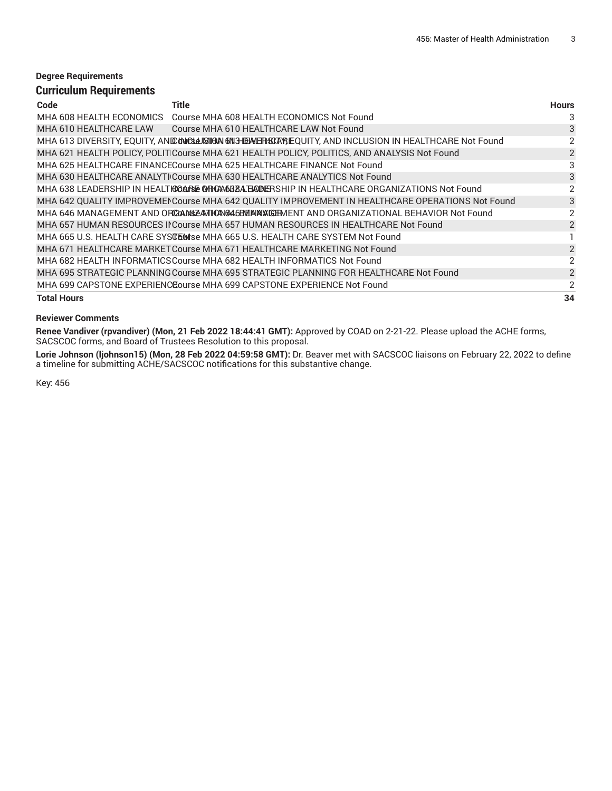#### **Degree Requirements Curriculum Requirements**

| Code                     | Title                                                                                           | <b>Hours</b>   |
|--------------------------|-------------------------------------------------------------------------------------------------|----------------|
| MHA 608 HEALTH ECONOMICS | Course MHA 608 HEALTH ECONOMICS Not Found                                                       | 3              |
| MHA 610 HEALTHCARE LAW   | Course MHA 610 HEALTHCARE LAW Not Found                                                         | 3              |
|                          | MHA 613 DIVERSITY, EQUITY, ANIDUNCULA SIMPLARE EQUITY, AND INCLUSION IN HEALTHCARE Not Found    | 2              |
|                          | MHA 621 HEALTH POLICY, POLITICourse MHA 621 HEALTH POLICY, POLITICS, AND ANALYSIS Not Found     | 2              |
|                          | MHA 625 HEALTHCARE FINANCECourse MHA 625 HEALTHCARE FINANCE Not Found                           | 3              |
|                          | MHA 630 HEALTHCARE ANALYTI Course MHA 630 HEALTHCARE ANALYTICS Not Found                        | 3              |
|                          | MHA 638 LEADERSHIP IN HEALTHCOARE ON CANDADERSHIP IN HEALTHCARE ORGANIZATIONS Not Found         | 2              |
|                          | MHA 642 QUALITY IMPROVEMENCourse MHA 642 QUALITY IMPROVEMENT IN HEALTHCARE OPERATIONS Not Found | 3              |
|                          | MHA 646 MANAGEMENT AND ORCGANGZATIONGAGENT MAKET AND ORGANIZATIONAL BEHAVIOR Not Found          | 2              |
|                          | MHA 657 HUMAN RESOURCES INCourse MHA 657 HUMAN RESOURCES IN HEALTHCARE Not Found                | $\overline{2}$ |
|                          | MHA 665 U.S. HEALTH CARE SYSTEMSE MHA 665 U.S. HEALTH CARE SYSTEM Not Found                     |                |
|                          | MHA 671 HEALTHCARE MARKET Course MHA 671 HEALTHCARE MARKETING Not Found                         | 2              |
|                          | MHA 682 HEALTH INFORMATICSCourse MHA 682 HEALTH INFORMATICS Not Found                           | 2              |
|                          | MHA 695 STRATEGIC PLANNING Course MHA 695 STRATEGIC PLANNING FOR HEALTHCARE Not Found           | 2              |
|                          | MHA 699 CAPSTONE EXPERIENCEourse MHA 699 CAPSTONE EXPERIENCE Not Found                          | 2              |
| <b>Total Hours</b>       |                                                                                                 | 34             |

#### **Reviewer Comments**

**Renee Vandiver (rpvandiver) (Mon, 21 Feb 2022 18:44:41 GMT):** Approved by COAD on 2-21-22. Please upload the ACHE forms, SACSCOC forms, and Board of Trustees Resolution to this proposal.

**Lorie Johnson (ljohnson15) (Mon, 28 Feb 2022 04:59:58 GMT):** Dr. Beaver met with SACSCOC liaisons on February 22, 2022 to define a timeline for submitting ACHE/SACSCOC notifications for this substantive change.

Key: 456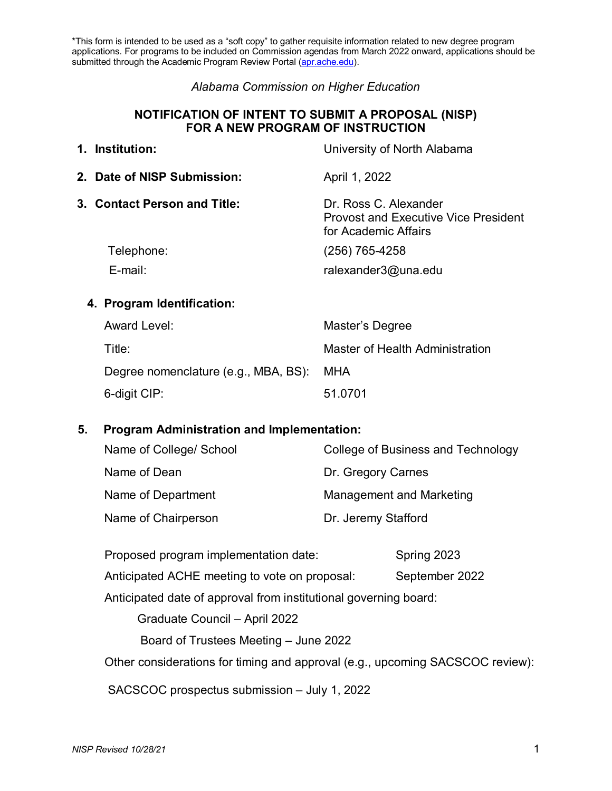\*This form is intended to be used as a "soft copy" to gather requisite information related to new degree program applications. For programs to be included on Commission agendas from March 2022 onward, applications should be submitted through the Academic Program Review Portal [\(apr.ache.edu\)](http://apr.ache.edu/).

#### *Alabama Commission on Higher Education*

#### **NOTIFICATION OF INTENT TO SUBMIT A PROPOSAL (NISP) FOR A NEW PROGRAM OF INSTRUCTION**

# **1. Institution:** University of North Alabama **2. Date of NISP Submission:** April 1, 2022 **3. Contact Person and Title:** Dr. Ross C. Alexander Provost and Executive Vice President for Academic Affairs Telephone: (256) 765-4258

E-mail: ralexander3@una.edu

#### **4. Program Identification:**

| Award Level:                             | Master's Degree                 |
|------------------------------------------|---------------------------------|
| Title:                                   | Master of Health Administration |
| Degree nomenclature (e.g., MBA, BS): MHA |                                 |
| 6-digit CIP:                             | 51.0701                         |

#### **5. Program Administration and Implementation:**

| Name of College/ School | College of Business and Technology |
|-------------------------|------------------------------------|
| Name of Dean            | Dr. Gregory Carnes                 |
| Name of Department      | Management and Marketing           |
| Name of Chairperson     | Dr. Jeremy Stafford                |

| Proposed program implementation date:                                         | Spring 2023    |  |  |  |
|-------------------------------------------------------------------------------|----------------|--|--|--|
| Anticipated ACHE meeting to vote on proposal:                                 | September 2022 |  |  |  |
| Anticipated date of approval from institutional governing board:              |                |  |  |  |
| Graduate Council - April 2022                                                 |                |  |  |  |
| Board of Trustees Meeting – June 2022                                         |                |  |  |  |
| Other considerations for timing and approval (e.g., upcoming SACSCOC review): |                |  |  |  |
| SACSCOC prospectus submission – July 1, 2022                                  |                |  |  |  |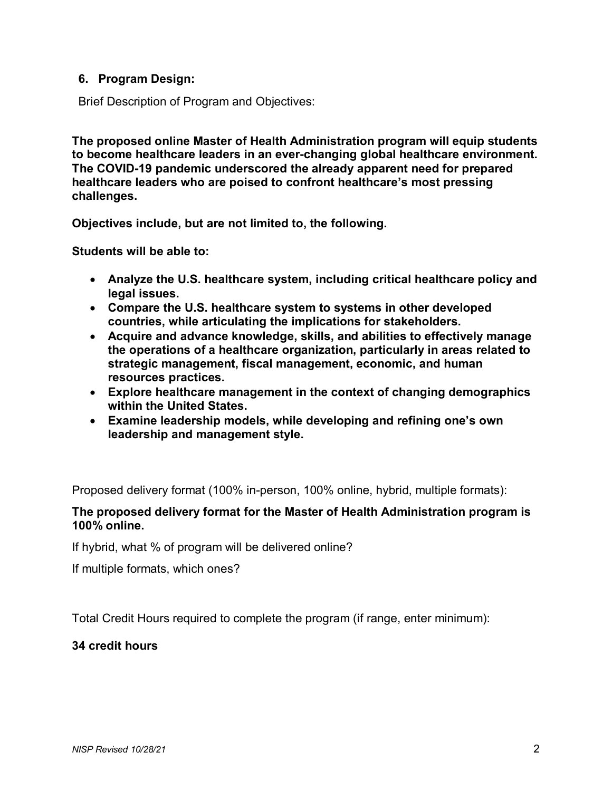# **6. Program Design:**

Brief Description of Program and Objectives:

**The proposed online Master of Health Administration program will equip students to become healthcare leaders in an ever-changing global healthcare environment. The COVID-19 pandemic underscored the already apparent need for prepared healthcare leaders who are poised to confront healthcare's most pressing challenges.**

**Objectives include, but are not limited to, the following.**

**Students will be able to:**

- **Analyze the U.S. healthcare system, including critical healthcare policy and legal issues.**
- **Compare the U.S. healthcare system to systems in other developed countries, while articulating the implications for stakeholders.**
- **Acquire and advance knowledge, skills, and abilities to effectively manage the operations of a healthcare organization, particularly in areas related to strategic management, fiscal management, economic, and human resources practices.**
- **Explore healthcare management in the context of changing demographics within the United States.**
- **Examine leadership models, while developing and refining one's own leadership and management style.**

Proposed delivery format (100% in-person, 100% online, hybrid, multiple formats):

#### **The proposed delivery format for the Master of Health Administration program is 100% online.**

If hybrid, what % of program will be delivered online?

If multiple formats, which ones?

Total Credit Hours required to complete the program (if range, enter minimum):

## **34 credit hours**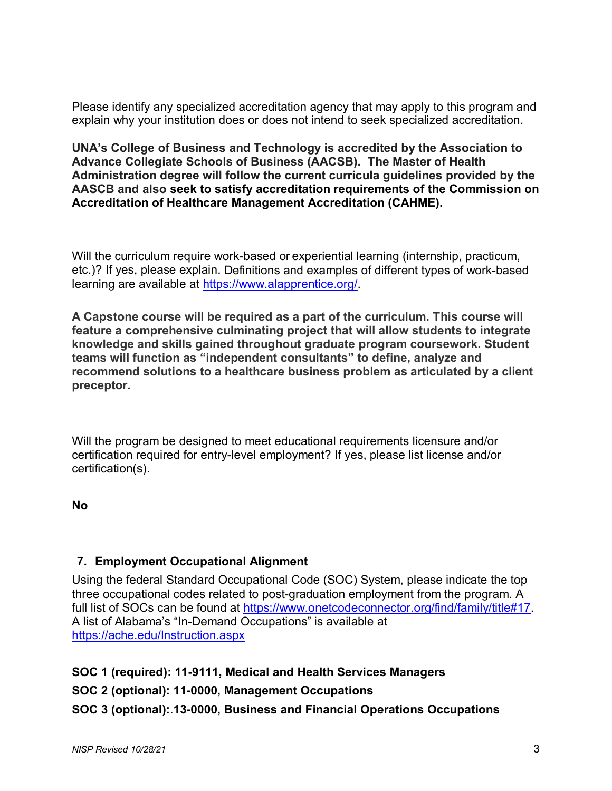Please identify any specialized accreditation agency that may apply to this program and explain why your institution does or does not intend to seek specialized accreditation.

**UNA's College of Business and Technology is accredited by the Association to Advance Collegiate Schools of Business (AACSB). The Master of Health Administration degree will follow the current curricula guidelines provided by the AASCB and also seek to satisfy accreditation requirements of the Commission on Accreditation of Healthcare Management Accreditation (CAHME).**

Will the curriculum require work-based or experiential learning (internship, practicum, etc.)? If yes, please explain. Definitions and examples of different types of work-based learning are available at [https://www.alapprentice.org/.](https://www.alapprentice.org/)

**A Capstone course will be required as a part of the curriculum. This course will feature a comprehensive culminating project that will allow students to integrate knowledge and skills gained throughout graduate program coursework. Student teams will function as "independent consultants" to define, analyze and recommend solutions to a healthcare business problem as articulated by a client preceptor.** 

Will the program be designed to meet educational requirements licensure and/or certification required for entry-level employment? If yes, please list license and/or certification(s).

**No**

# **7. Employment Occupational Alignment**

Using the federal Standard Occupational Code (SOC) System, please indicate the top three occupational codes related to post-graduation employment from the program. A full list of SOCs can be found at [https://www.onetcodeconnector.org/find/family/title#17.](https://www.onetcodeconnector.org/find/family/title#17) A list of Alabama's "In-Demand Occupations" is available at <https://ache.edu/Instruction.aspx>

**SOC 1 (required): 11-9111, Medical and Health Services Managers SOC 2 (optional): 11-0000, Management Occupations SOC 3 (optional):**.**13-0000, Business and Financial Operations Occupations**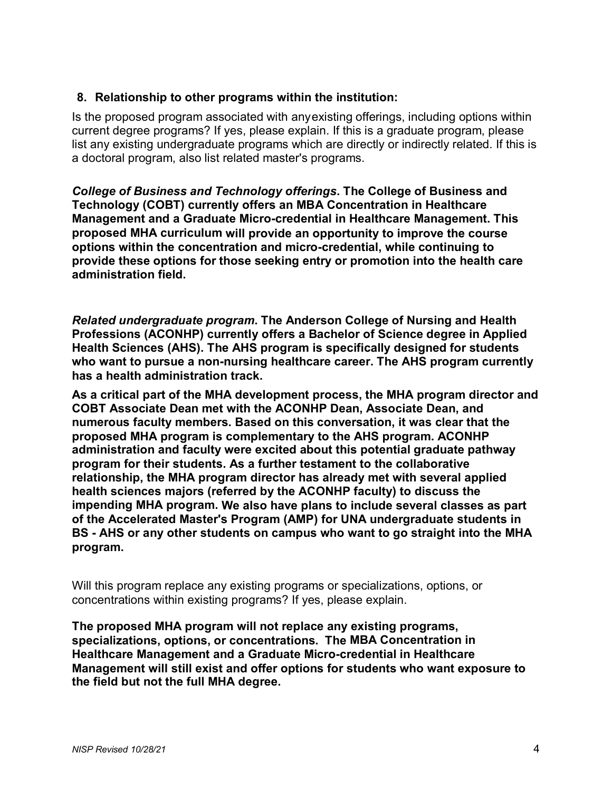# **8. Relationship to other programs within the institution:**

Is the proposed program associated with anyexisting offerings, including options within current degree programs? If yes, please explain. If this is a graduate program, please list any existing undergraduate programs which are directly or indirectly related. If this is a doctoral program, also list related master's programs.

*College of Business and Technology offerings***. The College of Business and Technology (COBT) currently offers an MBA Concentration in Healthcare Management and a Graduate Micro-credential in Healthcare Management. This proposed MHA curriculum will provide an opportunity to improve the course options within the concentration and micro-credential, while continuing to provide these options for those seeking entry or promotion into the health care administration field.** 

*Related undergraduate program***. The Anderson College of Nursing and Health Professions (ACONHP) currently offers a Bachelor of Science degree in Applied Health Sciences (AHS). The AHS program is specifically designed for students who want to pursue a non-nursing healthcare career. The AHS program currently has a health administration track.** 

**As a critical part of the MHA development process, the MHA program director and COBT Associate Dean met with the ACONHP Dean, Associate Dean, and numerous faculty members. Based on this conversation, it was clear that the proposed MHA program is complementary to the AHS program. ACONHP administration and faculty were excited about this potential graduate pathway program for their students. As a further testament to the collaborative relationship, the MHA program director has already met with several applied health sciences majors (referred by the ACONHP faculty) to discuss the impending MHA program. We also have plans to include several classes as part of the Accelerated Master's Program (AMP) for UNA undergraduate students in BS - AHS or any other students on campus who want to go straight into the MHA program.**

Will this program replace any existing programs or specializations, options, or concentrations within existing programs? If yes, please explain.

**The proposed MHA program will not replace any existing programs, specializations, options, or concentrations. The MBA Concentration in Healthcare Management and a Graduate Micro-credential in Healthcare Management will still exist and offer options for students who want exposure to the field but not the full MHA degree.**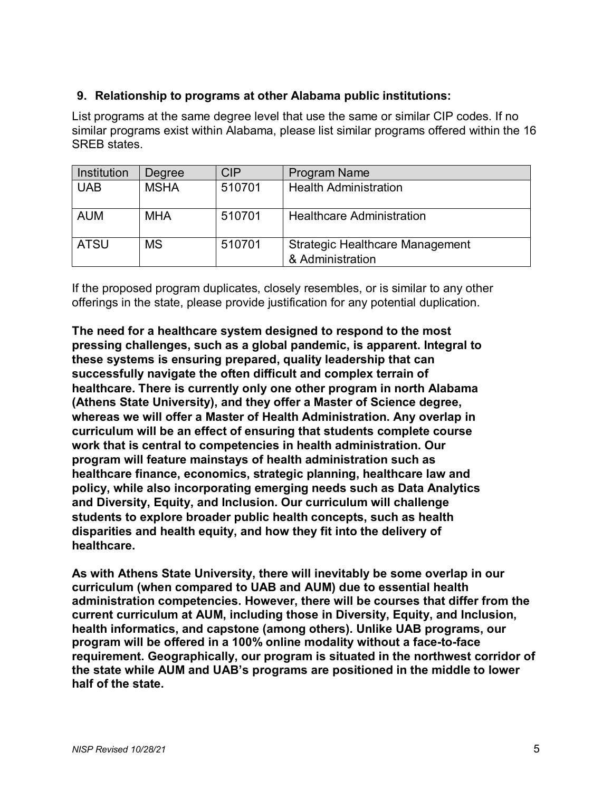# **9. Relationship to programs at other Alabama public institutions:**

List programs at the same degree level that use the same or similar CIP codes. If no similar programs exist within Alabama, please list similar programs offered within the 16 SREB states.

| Institution | Degree      | <b>CIP</b> | Program Name                                               |
|-------------|-------------|------------|------------------------------------------------------------|
| <b>UAB</b>  | <b>MSHA</b> | 510701     | <b>Health Administration</b>                               |
|             |             |            |                                                            |
| <b>AUM</b>  | <b>MHA</b>  | 510701     | <b>Healthcare Administration</b>                           |
| <b>ATSU</b> | <b>MS</b>   | 510701     | <b>Strategic Healthcare Management</b><br>& Administration |

If the proposed program duplicates, closely resembles, or is similar to any other offerings in the state, please provide justification for any potential duplication.

**The need for a healthcare system designed to respond to the most pressing challenges, such as a global pandemic, is apparent. Integral to these systems is ensuring prepared, quality leadership that can successfully navigate the often difficult and complex terrain of healthcare. There is currently only one other program in north Alabama (Athens State University), and they offer a Master of Science degree, whereas we will offer a Master of Health Administration. Any overlap in curriculum will be an effect of ensuring that students complete course work that is central to competencies in health administration. Our program will feature mainstays of health administration such as healthcare finance, economics, strategic planning, healthcare law and policy, while also incorporating emerging needs such as Data Analytics and Diversity, Equity, and Inclusion. Our curriculum will challenge students to explore broader public health concepts, such as health disparities and health equity, and how they fit into the delivery of healthcare.** 

**As with Athens State University, there will inevitably be some overlap in our curriculum (when compared to UAB and AUM) due to essential health administration competencies. However, there will be courses that differ from the current curriculum at AUM, including those in Diversity, Equity, and Inclusion, health informatics, and capstone (among others). Unlike UAB programs, our program will be offered in a 100% online modality without a face-to-face requirement. Geographically, our program is situated in the northwest corridor of the state while AUM and UAB's programs are positioned in the middle to lower half of the state.**